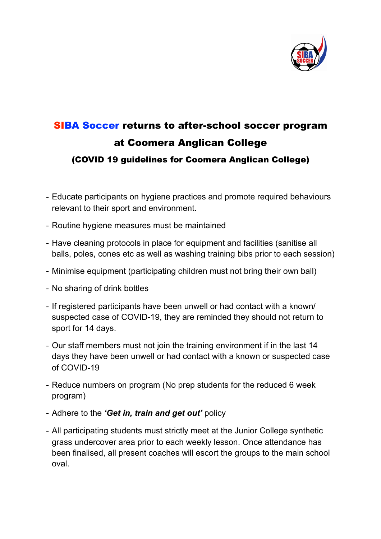

## SIBA Soccer returns to after-school soccer program at Coomera Anglican College (COVID 19 guidelines for Coomera Anglican College)

- Educate participants on hygiene practices and promote required behaviours relevant to their sport and environment.
- Routine hygiene measures must be maintained
- Have cleaning protocols in place for equipment and facilities (sanitise all balls, poles, cones etc as well as washing training bibs prior to each session)
- Minimise equipment (participating children must not bring their own ball)
- No sharing of drink bottles
- If registered participants have been unwell or had contact with a known/ suspected case of COVID-19, they are reminded they should not return to sport for 14 days.
- Our staff members must not join the training environment if in the last 14 days they have been unwell or had contact with a known or suspected case of COVID-19
- Reduce numbers on program (No prep students for the reduced 6 week program)
- Adhere to the *'Get in, train and get out'* policy
- All participating students must strictly meet at the Junior College synthetic grass undercover area prior to each weekly lesson. Once attendance has been finalised, all present coaches will escort the groups to the main school oval.